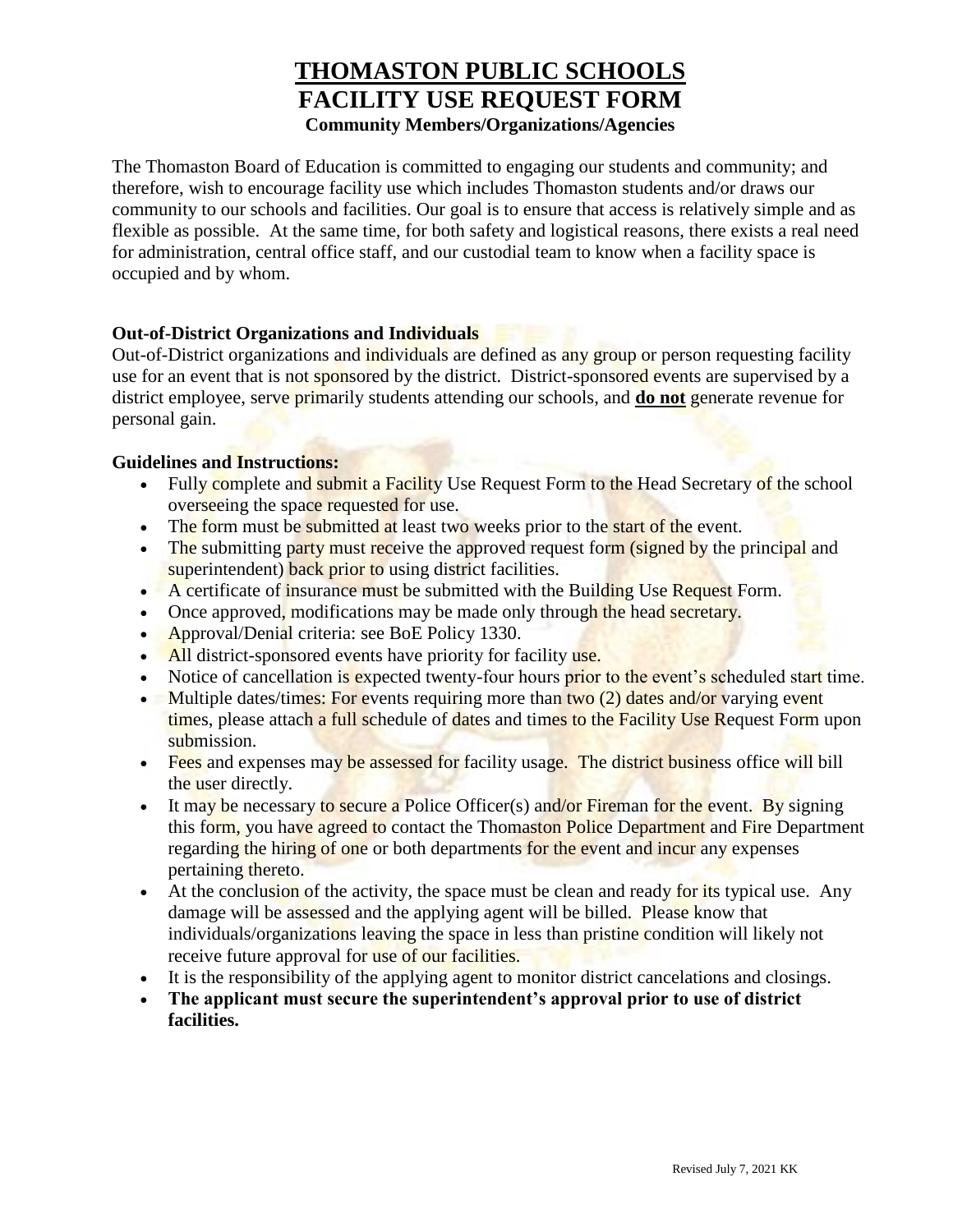## **THOMASTON PUBLIC SCHOOLS FACILITY USE REQUEST FORM Community Members/Organizations/Agencies**

The Thomaston Board of Education is committed to engaging our students and community; and therefore, wish to encourage facility use which includes Thomaston students and/or draws our community to our schools and facilities. Our goal is to ensure that access is relatively simple and as flexible as possible. At the same time, for both safety and logistical reasons, there exists a real need for administration, central office staff, and our custodial team to know when a facility space is occupied and by whom.

## **Out-of-District Organizations and Individuals**

Out-of-District organizations and individuals are defined as any group or person requesting facility use for an event that is not sponsored by the district. District-sponsored events are supervised by a district employee, serve primarily students attending our schools, and **do not** generate revenue for personal gain.

## **Guidelines and Instructions:**

- Fully complete and submit a Facility Use Request Form to the Head Secretary of the school overseeing the space requested for use.
- The form must be submitted at least two weeks prior to the start of the event.
- The submitting party must receive the approved request form (signed by the principal and superintendent) back prior to using district facilities.
- A certificate of insurance must be submitted with the Building Use Request Form.
- Once approved, modifications may be made only through the head secretary.
- Approval/Denial criteria: see BoE Policy 1330.
- All district-sponsored events have priority for facility use.
- Notice of cancellation is expected twenty-four hours prior to the event's scheduled start time.
- Multiple dates/times: For events requiring more than two  $(2)$  dates and/or varying event times, please attach a full schedule of dates and times to the Facility Use Request Form upon submission.
- Fees and expenses may be assessed for facility usage. The district business office will bill the user directly.
- It may be necessary to secure a Police Officer(s) and/or Fireman for the event. By signing this form, you have agreed to contact the Thomaston Police Department and Fire Department regarding the hiring of one or both departments for the event and incur any expenses pertaining thereto.
- At the conclusion of the activity, the space must be clean and ready for its typical use. Any damage will be assessed and the applying agent will be billed. Please know that individuals/organizations leaving the space in less than pristine condition will likely not receive future approval for use of our facilities.
- It is the responsibility of the applying agent to monitor district cancelations and closings.
- **The applicant must secure the superintendent's approval prior to use of district facilities.**